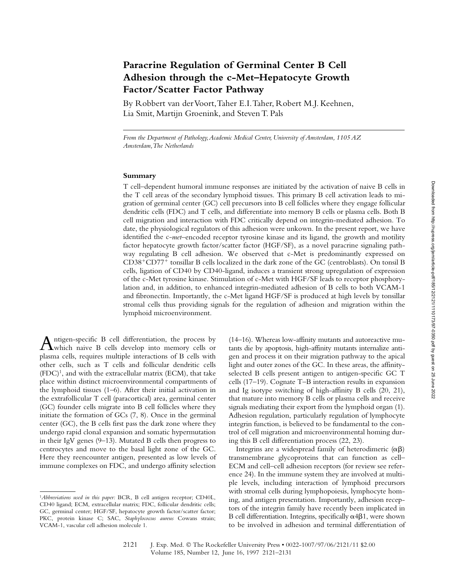# **Paracrine Regulation of Germinal Center B Cell Adhesion through the c-Met–Hepatocyte Growth Factor/Scatter Factor Pathway**

By Robbert van der Voort, Taher E.I. Taher, Robert M.J. Keehnen, Lia Smit, Martijn Groenink, and Steven T. Pals

*From the Department of Pathology, Academic Medical Center, University of Amsterdam, 1105 AZ Amsterdam, The Netherlands*

#### **Summary**

T cell–dependent humoral immune responses are initiated by the activation of naive B cells in the T cell areas of the secondary lymphoid tissues. This primary B cell activation leads to migration of germinal center (GC) cell precursors into B cell follicles where they engage follicular dendritic cells (FDC) and T cells, and differentiate into memory B cells or plasma cells. Both B cell migration and interaction with FDC critically depend on integrin-mediated adhesion. To date, the physiological regulators of this adhesion were unkown. In the present report, we have identified the c-*met*–encoded receptor tyrosine kinase and its ligand, the growth and motility factor hepatocyte growth factor/scatter factor (HGF/SF), as a novel paracrine signaling pathway regulating B cell adhesion. We observed that c-Met is predominantly expressed on CD38-CD77- tonsillar B cells localized in the dark zone of the GC (centroblasts). On tonsil B cells, ligation of CD40 by CD40-ligand, induces a transient strong upregulation of expression of the c-Met tyrosine kinase. Stimulation of c-Met with HGF/SF leads to receptor phosphorylation and, in addition, to enhanced integrin-mediated adhesion of B cells to both VCAM-1 and fibronectin. Importantly, the c-Met ligand HGF/SF is produced at high levels by tonsillar stromal cells thus providing signals for the regulation of adhesion and migration within the lymphoid microenvironment.

Antigen-specific B cell differentiation, the process by<br>which naive B cells develop into memory cells or plasma cells, requires multiple interactions of B cells with other cells, such as T cells and follicular dendritic cells  $(FDC)^1$ , and with the extracellular matrix (ECM), that take place within distinct microenvironmental compartments of the lymphoid tissues (1–6). After their initial activation in the extrafollicular T cell (paracortical) area, germinal center (GC) founder cells migrate into B cell follicles where they initiate the formation of GCs (7, 8). Once in the germinal center (GC), the B cells first pass the dark zone where they undergo rapid clonal expansion and somatic hypermutation in their IgV genes (9–13). Mutated B cells then progress to centrocytes and move to the basal light zone of the GC. Here they reencounter antigen, presented as low levels of immune complexes on FDC, and undergo affinity selection

(14–16). Whereas low-affinity mutants and autoreactive mutants die by apoptosis, high-affinity mutants internalize antigen and process it on their migration pathway to the apical light and outer zones of the GC. In these areas, the affinityselected B cells present antigen to antigen-specific GC T cells (17–19). Cognate T–B interaction results in expansion and Ig isotype switching of high-affinity B cells (20, 21), that mature into memory B cells or plasma cells and receive signals mediating their export from the lymphoid organ (1). Adhesion regulation, particularly regulation of lymphocyte integrin function, is believed to be fundamental to the control of cell migration and microenvironmental homing during this B cell differentiation process (22, 23).

Integrins are a widespread family of heterodimeric  $(\alpha\beta)$ transmembrane glycoproteins that can function as cell– ECM and cell–cell adhesion receptors (for review see reference 24). In the immune system they are involved at multiple levels, including interaction of lymphoid precursors with stromal cells during lymphopoiesis, lymphocyte homing, and antigen presentation. Importantly, adhesion receptors of the integrin family have recently been implicated in B cell differentiation. Integrins, specifically  $\alpha$ 4 $\beta$ 1, were shown to be involved in adhesion and terminal differentiation of

<sup>1</sup>*Abbreviations used in this paper:* BCR, B cell antigen receptor; CD40L, CD40 ligand; ECM, extracellular matrix; FDC, follicular dendritic cells; GC, germinal center; HGF/SF, hepatocyte growth factor/scatter factor; PKC, protein kinase C; SAC, *Staphylococcus aureus* Cowans strain; VCAM-1, vascular cell adhesion molecule 1.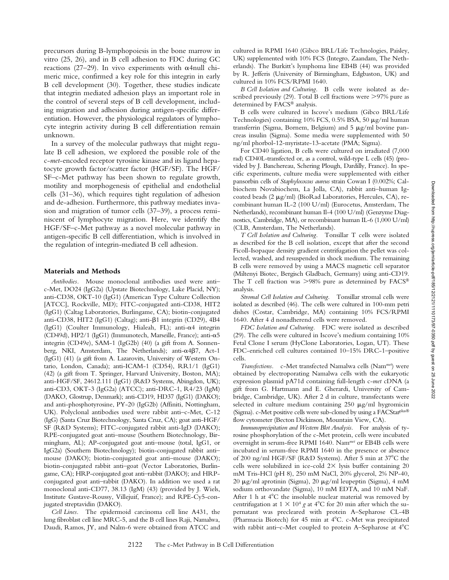precursors during B-lymphopoiesis in the bone marrow in vitro (25, 26), and in B cell adhesion to FDC during GC reactions (27–29). In vivo experiments with  $\alpha$ 4null chimeric mice, confirmed a key role for this integrin in early B cell development (30). Together, these studies indicate that integrin mediated adhesion plays an important role in the control of several steps of B cell development, including migration and adhesion during antigen-specific differentiation. However, the physiological regulators of lymphocyte integrin activity during B cell differentiation remain unknown.

In a survey of the molecular pathways that might regulate B cell adhesion, we explored the possible role of the c-*met*-encoded receptor tyrosine kinase and its ligand hepatocyte growth factor/scatter factor (HGF/SF). The HGF/ SF–c-Met pathway has been shown to regulate growth, motility and morphogenesis of epithelial and endothelial cells (31–36), which requires tight regulation of adhesion and de-adhesion. Furthermore, this pathway mediates invasion and migration of tumor cells (37–39), a process reminiscent of lymphocyte migration. Here, we identify the HGF/SF–c-Met pathway as a novel molecular pathway in antigen-specific B cell differentiation, which is involved in the regulation of integrin-mediated B cell adhesion.

#### **Materials and Methods**

*Antibodies.* Mouse monoclonal antibodies used were anti– c-Met, DO24 (IgG2a) (Upstate Biotechnology, Lake Placid, NY); anti-CD38, OKT-10 (IgG1) (American Type Culture Collection [ATCC], Rockville, MD); FITC-conjugated anti-CD38, HIT2 (IgG1) (Caltag Laboratories, Burlingame, CA); biotin-conjugated anti-CD38, HIT2 (IgG1) (Caltag); anti- $\beta$ 1 integrin (CD29), 4B4 (IgG1) (Coulter Immunology, Hialeah, FL); anti- $\alpha$ 4 integrin (CD49d), HP2/1 (IgG1) (Immunotech, Marseille, France); anti- $\alpha$ 5 integrin (CD49e), SAM-1 (IgG2b) (40) (a gift from A. Sonnenberg, NKI, Amsterdam, The Netherlands); anti- $\alpha$ 4 $\beta$ 7, Act-1 (IgG1) (41) (a gift from A. Lazarovits, University of Western Ontario, London, Canada); anti-ICAM-1 (CD54), RR1/1 (IgG1) (42) (a gift from T. Springer, Harvard University, Boston, MA); anti-HGF/SF, 24612.111 (IgG1) (R&D Systems, Abingdon, UK); anti-CD3, OKT-3 (IgG2a) (ATCC); anti-DRC-1, R4/23 (IgM) (DAKO, Glostrup, Denmark); anti-CD19, HD37 (IgG1) (DAKO); and anti-phosphotyrosine, PY-20 (IgG2b) (Affiniti, Nottingham, UK). Polyclonal antibodies used were rabbit anti–c-Met, C-12 (IgG) (Santa Cruz Biotechnology, Santa Cruz, CA); goat anti-HGF/ SF (R&D Systems); FITC-conjugated rabbit anti-IgD (DAKO); RPE-conjugated goat anti–mouse (Southern Biotechnology, Birmingham, AL); AP-conjugated goat anti–mouse (total, IgG1, or IgG2a) (Southern Biotechnology); biotin-conjugated rabbit anti– mouse (DAKO); biotin-conjugated goat anti–mouse (DAKO); biotin-conjugated rabbit anti–goat (Vector Laboratories, Burlingame, CA); HRP-conjugated goat anti–rabbit (DAKO); and HRPconjugated goat anti–rabbit (DAKO). In addition we used a rat monoclonal anti-CD77, 38.13 (IgM) (43) (provided by J. Wiels, Institute Gustave-Roussy, Villejuif, France); and RPE-Cy5-conjugated streptavidin (DAKO).

*Cell Lines.* The epidermoid carcinoma cell line A431, the lung fibroblast cell line MRC-5, and the B cell lines Raji, Namalwa, Daudi, Ramos, JY, and Nalm-6 were obtained from ATCC and

cultured in RPMI 1640 (Gibco BRL/Life Technologies, Paisley, UK) supplemented with 10% FCS (Integro, Zaandam, The Netherlands). The Burkitt's lymphoma line EB4B (44) was provided by R. Jefferis (University of Birmingham, Edgbaston, UK) and cultured in 10% FCS/RPMI 1640.

*B Cell Isolation and Culturing.* B cells were isolated as described previously  $(29)$ . Total B cell fractions were  $>97\%$  pure as determined by FACS® analysis.

B cells were cultured in Iscove's medium (Gibco BRL/Life Technologies) containing  $10\%$  FCS,  $0.5\%$  BSA,  $50 \mu g/ml$  human transferrin (Sigma, Bornem, Belgium) and  $5 \mu g/ml$  bovine pancreas insulin (Sigma). Some media were supplemented with 50 ng/ml phorbol-12-myristate-13-acetate (PMA; Sigma).

For CD40 ligation, B cells were cultured on irradiated (7,000 rad) CD40L-transfected or, as a control, wild-type L cells (45) (provided by J. Banchereau, Schering Plough, Dardilly, France). In specific experiments, culture media were supplemented with either pansorbin cells of *Staphylococcus aureus* strain Cowan I (0.002%; Calbiochem Novabiochem, La Jolla, CA), rabbit anti–human Igcoated beads (2  $\mu$ g/ml) (BioRad Laboratories, Hercules, CA), recombinant human IL-2 (100 U/ml) (Eurocetus, Amsterdam, The Netherlands), recombinant human Il-4 (100 U/ml) (Genzyme Diagnostics, Cambridge, MA), or recombinant human IL-6 (1,000 U/ml) (CLB, Amsterdam, The Netherlands).

*T Cell Isolation and Culturing.* Tonsillar T cells were isolated as described for the B cell isolation, except that after the second Ficoll-Isopaque density gradient centrifugation the pellet was collected, washed, and resuspended in shock medium. The remaining B cells were removed by using a MACS magnetic cell separator (Miltenyi Biotec, Bergisch Gladbach, Germany) using anti-CD19. The T cell fraction was  $>98\%$  pure as determined by FACS® analysis.

*Stromal Cell Isolation and Culturing.* Tonsillar stromal cells were isolated as described (46). The cells were cultured in 100-mm petri dishes (Costar, Cambridge, MA) containing 10% FCS/RPMI 1640. After 4 d nonadherend cells were removed.

*FDC Isolation and Culturing.* FDC were isolated as described (29). The cells were cultured in Iscove's medium containing 10% Fetal Clone I serum (HyClone Laboratories, Logan, UT). These FDC-enriched cell cultures contained 10–15% DRC-1–positive cells.

*Transfections.* c-Met transfected Namalwa cells (Nam*met*) were obtained by electroporating Namalwa cells with the eukaryotic expression plasmid pA71d containing full-length c-*met* cDNA (a gift from G. Hartmann and E. Gherardi, University of Cambridge, Cambridge, UK). After 2 d in culture, transfectants were selected in culture medium containing  $250 \mu g/ml$  hygromicin (Sigma). c-Met positive cells were sub-cloned by using a FACStar<sup>plus®</sup> flow cytometer (Becton Dickinson, Mountain View, CA).

*Immunoprecipitation and Western Blot Analysis.* For analysis of tyrosine phosphorylation of the c-Met protein, cells were incubated overnight in serum-free RPMI 1640. Nam*met* or EB4B cells were incubated in serum-free RPMI 1640 in the presence or absence of 200 ng/ml HGF/SF (R&D Systems). After 5 min at 37°C the cells were solubilized in ice-cold  $2 \times$  lysis buffer containing 20 mM Tris-HCl (pH 8), 250 mM NaCl, 20% glycerol, 2% NP-40, 20  $\mu$ g/ml aprotinin (Sigma), 20  $\mu$ g/ml leupeptin (Sigma), 4 mM sodium orthovandate (Sigma), 10 mM EDTA, and 10 mM NaF. After 1 h at  $4^{\circ}$ C the insoluble nuclear material was removed by centrifugation at  $1 \times 10^4$  g at 4<sup>o</sup>C for 20 min after which the supernatant was precleared with protein A–Sepharose CL-4B (Pharmacia Biotech) for 45 min at 4°C. c-Met was precipitated with rabbit anti-c-Met coupled to protein A-Sepharose at 4°C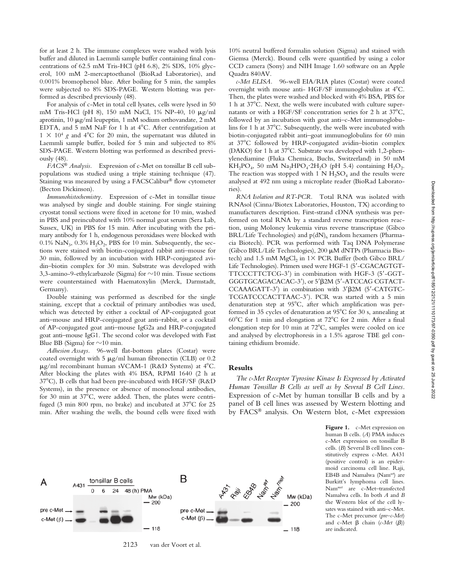for at least 2 h. The immune complexes were washed with lysis buffer and diluted in Laemmli sample buffer containing final concentrations of 62.5 mM Tris-HCl (pH 6.8), 2% SDS, 10% glycerol, 100 mM 2-mercaptoethanol (BioRad Laboratories), and 0.001% bromophenol blue. After boiling for 5 min, the samples were subjected to 8% SDS-PAGE. Western blotting was performed as described previously (48).

For analysis of c-Met in total cell lysates, cells were lysed in 50 mM Tris-HCl (pH 8), 150 mM NaCl, 1% NP-40, 10 μg/ml aprotinin, 10  $\mu$ g/ml leupeptin, 1 mM sodium orthovandate, 2 mM EDTA, and  $5 \text{ mM NaF}$  for 1 h at  $4^{\circ}$ C. After centrifugation at  $1 \times 10^4$  g and  $4^{\circ}$ C for 20 min, the supernatant was diluted in Laemmli sample buffer, boiled for 5 min and subjected to 8% SDS-PAGE. Western blotting was performed as described previously (48).

*FACS Analysis.* Expression of c-Met on tonsillar B cell subpopulations was studied using a triple staining technique (47). Staining was measured by using a FACSCalibur® flow cytometer (Becton Dickinson).

*Immunohistochemistry.* Expression of c-Met in tonsillar tissue was analysed by single and double staining. For single staining cryostat tonsil sections were fixed in acetone for 10 min, washed in PBS and preincubated with 10% normal goat serum (Sera Lab, Sussex, UK) in PBS for 15 min. After incubating with the primary antibody for 1 h, endogenous peroxidases were blocked with 0.1%  $\text{NaN}_3$ , 0.3%  $\text{H}_2\text{O}_2$ , PBS for 10 min. Subsequently, the sections were stained with biotin-conjugated rabbit anti–mouse for 30 min, followed by an incubation with HRP-conjugated avidin–biotin complex for 30 min. Substrate was developed with 3,3-amino-9-ethylcarbazole (Sigma) for  $\sim$ 10 min. Tissue sections were counterstained with Haematoxylin (Merck, Darmstadt, Germany).

Double staining was performed as described for the single staining, except that a cocktail of primary antibodies was used, which was detected by either a cocktail of AP-conjugated goat anti–mouse and HRP-conjugated goat anti–rabbit, or a cocktail of AP-conjugated goat anti–mouse IgG2a and HRP-conjugated goat anti–mouse IgG1. The second color was developed with Fast Blue BB (Sigma) for  $\sim 10$  min.

*Adhesion Assays.* 96-well flat-bottom plates (Costar) were coated overnight with 5  $\mu$ g/ml human fibronectin (CLB) or 0.2  $\mu$ g/ml recombinant human sVCAM-1 (R&D Systems) at 4°C. After blocking the plates with 4% BSA, RPMI 1640 (2 h at 37C), B cells that had been pre-incubated with HGF/SF (R&D Systems), in the presence or absence of monoclonal antibodies, for 30 min at  $37^{\circ}$ C, were added. Then, the plates were centrifuged (3 min 800 rpm, no brake) and incubated at  $37^{\circ}$ C for 25 min. After washing the wells, the bound cells were fixed with 10% neutral buffered formalin solution (Sigma) and stained with Giemsa (Merck). Bound cells were quantified by using a color CCD camera (Sony) and NIH Image 1.60 software on an Apple Quadra 840AV.

*c-Met ELISA.* 96-well EIA/RIA plates (Costar) were coated overnight with mouse anti- HGF/SF immunoglobulins at 4C. Then, the plates were washed and blocked with 4% BSA, PBS for 1 h at 37C. Next, the wells were incubated with culture supernatants or with a HGF/SF concentration series for 2 h at  $37^{\circ}$ C, followed by an incubation with goat anti–c-Met immunoglobulins for 1 h at  $37^{\circ}$ C. Subsequently, the wells were incubated with biotin-conjugated rabbit anti–goat immunoglobulins for 60 min at 37C followed by HRP-conjugated avidin–biotin complex (DAKO) for 1 h at 37°C. Substrate was developed with 1,2-phenylenediamine (Fluka Chemica, Buchs, Switzerland) in 50 mM  $KH_2PO_4$ , 50 mM Na<sub>2</sub>HPO<sub>4</sub> $\cdot$ 2H<sub>2</sub>O (pH 5.4) containing H<sub>2</sub>O<sub>2</sub>. The reaction was stopped with 1 N  $H_2SO_4$  and the results were analysed at 492 nm using a microplate reader (BioRad Laboratories).

*RNA Isolation and RT-PCR.* Total RNA was isolated with RNAsol (Cinna/Biotex Laboratories, Houston, TX) according to manufacturers description. First-strand cDNA synthesis was performed on total RNA by a standard reverse transcription reaction, using Moloney leukemia virus reverse transcriptase (Gibco  $BRL/L$ ife Technologies) and  $p(dN)<sub>6</sub>$  random hexamers (Pharmacia Biotech). PCR was performed with Taq DNA Polymerase (Gibco BRL/Life Technologies), 200 µM dNTPs (Pharmacia Biotech) and 1.5 mM MgCl<sub>2</sub> in  $1 \times$  PCR Buffer (both Gibco BRL/ Life Technologies). Primers used were HGF-1 (5 -CGACAGTGT-TTCCCTTCTCG-3 ) in combination with HGF-3 (5 -GGT-GGGTGCAGACACAC-3 ), or 5 2M (5 -ATCCAG CGTACT-CCAAAGATT-3 ) in combination with 3 2M (5 -CATGTC-TCGATCCCACTTAAC-3 ). PCR was started with a 5 min denaturation step at 95C, after which amplification was performed in 35 cycles of denaturation at 95°C for 30 s, annealing at  $60^{\circ}$ C for 1 min and elongation at  $72^{\circ}$ C for 2 min. After a final elongation step for 10 min at 72°C, samples were cooled on ice and analysed by electrophoresis in a 1.5% agarose TBE gel containing ethidium bromide.

#### **Results**

*The c-Met Receptor Tyrosine Kinase Is Expressed by Activated Human Tonsillar B Cells as well as by Several B Cell Lines.* Expression of c-Met by human tonsillar B cells and by a panel of B cell lines was assessed by Western blotting and by FACS<sup>®</sup> analysis. On Western blot, c-Met expression

> Figure 1. c-Met expression on human B cells. (*A*) PMA induces c-Met expression on tonsillar B cells. (*B*) Several B cell lines constitutively express c-Met. A431 (positive control) is an epidermoid carcinoma cell line. Raji, EB4B and Namalwa (Nam*wt*) are Burkitt's lymphoma cell lines. Nam*met* are c-Met–transfected Namalwa cells. In both *A* and *B* the Western blot of the cell lysates was stained with anti–c-Met. The c-Met precursor (*pre–c-Met*) and c-Met  $\beta$  chain ( $c$ -Met  $(\beta)$ ) are indicated.



2123 van der Voort et al.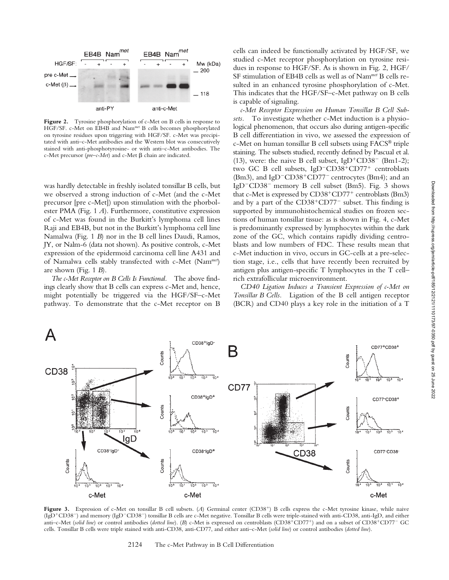

**Figure 2.** Tyrosine phosphorylation of c-Met on B cells in response to HGF/SF. c-Met on EB4B and Nam*met* B cells becomes phosphorylated on tyrosine residues upon triggering with HGF/SF. c-Met was precipitated with anti–c-Met antibodies and the Western blot was consecutively stained with anti-phosphotyrosine- or with anti–c-Met antibodies. The c-Met precursor (pre-c-Met) and c-Met  $\beta$  chain are indicated.

was hardly detectable in freshly isolated tonsillar B cells, but we observed a strong induction of c-Met (and the c-Met precursor [pre c-Met]) upon stimulation with the phorbolester PMA (Fig. 1 *A*). Furthermore, constitutive expression of c-Met was found in the Burkitt's lymphoma cell lines Raji and EB4B, but not in the Burkitt's lymphoma cell line Namalwa (Fig. 1 *B*) nor in the B cell lines Daudi, Ramos, JY, or Nalm-6 (data not shown). As positive controls, c-Met expression of the epidermoid carcinoma cell line A431 and of Namalwa cells stably transfected with c-Met (Nam*met*) are shown (Fig. 1 *B*).

*The c-Met Receptor on B Cells Is Functional.* The above findings clearly show that B cells can express c-Met and, hence, might potentially be triggered via the HGF/SF–c-Met pathway. To demonstrate that the c-Met receptor on B cells can indeed be functionally activated by HGF/SF, we studied c-Met receptor phosphorylation on tyrosine residues in response to HGF/SF. As is shown in Fig. 2, HGF/ SF stimulation of EB4B cells as well as of Nam*met* B cells resulted in an enhanced tyrosine phosphorylation of c-Met. This indicates that the HGF/SF–c-Met pathway on B cells is capable of signaling.

*c-Met Receptor Expression on Human Tonsillar B Cell Subsets.* To investigate whether c-Met induction is a physiological phenomenon, that occurs also during antigen-specific B cell differentiation in vivo, we assessed the expression of  $c$ -Met on human tonsillar B cell subsets using  $FACS^{\circledast}$  triple staining. The subsets studied, recently defined by Pascual et al. (13), were: the naive B cell subset,  $IgD+CD38^-$  (Bm1-2); two GC B cell subsets, IgD<sup>-</sup>CD38<sup>+</sup>CD77<sup>+</sup> centroblasts (Bm3), and IgD<sup>-</sup>CD38<sup>+</sup>CD77<sup>-</sup> centrocytes (Bm4); and an IgD<sup>-</sup>CD38<sup>-</sup> memory B cell subset (Bm5). Fig. 3 shows that c-Met is expressed by CD38<sup>+</sup>CD77<sup>+</sup> centroblasts (Bm3) and by a part of the CD38<sup>+</sup>CD77<sup>-</sup> subset. This finding is supported by immunohistochemical studies on frozen sections of human tonsillar tissue: as is shown in Fig. 4, c-Met is predominantly expressed by lymphocytes within the dark zone of the GC, which contains rapidly dividing centroblasts and low numbers of FDC. These results mean that c-Met induction in vivo, occurs in GC-cells at a pre-selection stage, i.e., cells that have recently been recruited by antigen plus antigen-specific T lymphocytes in the T cell– rich extrafollicular microenvironment.

*CD40 Ligation Induces a Transient Expression of c-Met on Tonsillar B Cells.* Ligation of the B cell antigen receptor (BCR) and CD40 plays a key role in the initiation of a T



**Figure 3.** Expression of c-Met on tonsillar B cell subsets. (*A*) Germinal center (CD38-) B cells express the c-Met tyrosine kinase, while naive (IgD<sup>+</sup>CD38<sup>-</sup>) and memory (IgD<sup>-</sup>CD38<sup>-</sup>) tonsillar B cells are c-Met negative. Tonsillar B cells were triple-stained with anti-CD38, anti-IgD, and either anti–c-Met (*solid line*) or control antibodies (*dotted line*). (B) c-Met is expressed on centroblasts (CD38<sup>+</sup>CD77<sup>+</sup>) and on a subset of CD38<sup>+</sup>CD77<sup>-</sup> GC cells. Tonsillar B cells were triple stained with anti-CD38, anti-CD77, and either anti–c-Met (*solid line*) or control antibodies (*dotted line*).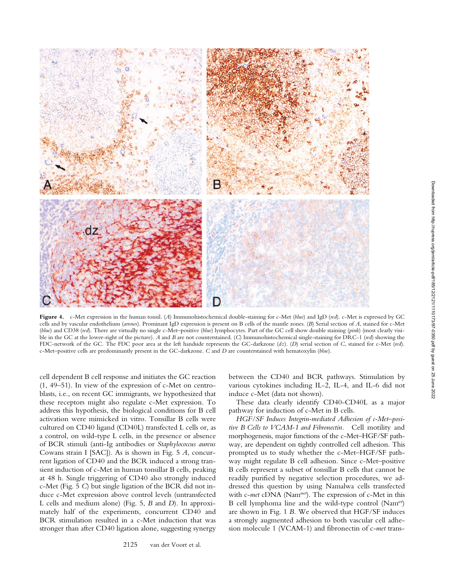

**Figure 4.** c-Met expression in the human tonsil. (*A*) Immunohistochemical double-staining for c-Met (*blue*) and IgD (*red*). c-Met is expressed by GC cells and by vascular endothelium (*arrows*). Prominant IgD expression is present on B cells of the mantle zones. (*B*) Serial section of *A*, stained for c-Met (*blue*) and CD38 (*red*). There are virtually no single c-Met–positive (*blue*) lymphocytes. Part of the GC cell show double staining (*pink*) (most clearly visible in the GC at the lower-right of the picture). *A* and *B* are not counterstained. (*C*) Immunohistochemical single-staining for DRC-1 (*red*) showing the FDC-network of the GC. The FDC poor area at the left handside represents the GC-darkzone (*dz*). (*D*) serial section of *C*, stained for c-Met (*red*). c-Met–positive cells are predominantly present in the GC-darkzone. *C* and *D* are counterstained with hematoxylin (*blue*).

cell dependent B cell response and initiates the GC reaction (1, 49–51). In view of the expression of c-Met on centroblasts, i.e., on recent GC immigrants, we hypothesized that these receptors might also regulate c-Met expression. To address this hypothesis, the biological conditions for B cell activation were mimicked in vitro. Tonsillar B cells were cultured on CD40 ligand (CD40L) transfected L cells or, as a control, on wild-type L cells, in the presence or absence of BCR stimuli (anti-Ig antibodies or *Staphylococcus aureus* Cowans strain I [SAC]). As is shown in Fig. 5 *A*, concurrent ligation of CD40 and the BCR induced a strong transient induction of c-Met in human tonsillar B cells, peaking at 48 h. Single triggering of CD40 also strongly induced c-Met (Fig. 5 *C*) but single ligation of the BCR did not induce c-Met expression above control levels (untransfected L cells and medium alone) (Fig. 5, *B* and *D*). In approximately half of the experiments, concurrent CD40 and BCR stimulation resulted in a c-Met induction that was stronger than after CD40 ligation alone, suggesting synergy

between the CD40 and BCR pathways. Stimulation by various cytokines including IL-2, IL-4, and IL-6 did not induce c-Met (data not shown).

These data clearly identify CD40-CD40L as a major pathway for induction of c-Met in B cells.

*HGF/SF Induces Integrin-mediated Adhesion of c-Met–positive B Cells to VCAM-1 and Fibronectin.* Cell motility and morphogenesis, major functions of the c-Met–HGF/SF pathway, are dependent on tightly controlled cell adhesion. This prompted us to study whether the c-Met–HGF/SF pathway might regulate B cell adhesion. Since c-Met–positive B cells represent a subset of tonsillar B cells that cannot be readily purified by negative selection procedures, we addressed this question by using Namalwa cells transfected with c-*met* cDNA (Nam*met*). The expression of c-Met in this B cell lymphoma line and the wild-type control (Nam*wt*) are shown in Fig. 1 *B.* We observed that HGF/SF induces a strongly augmented adhesion to both vascular cell adhesion molecule 1 (VCAM-1) and fibronectin of c-*met* trans-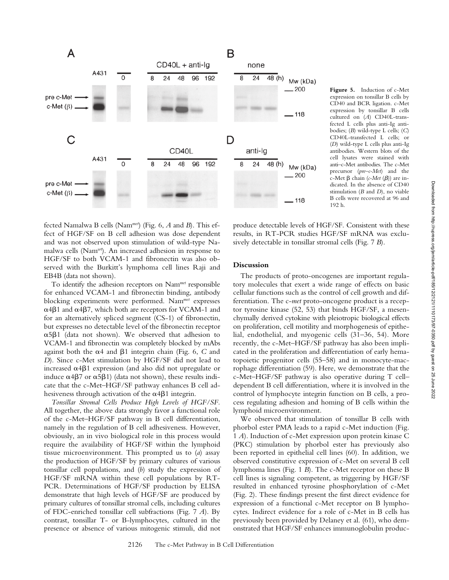

**Figure 5.** Induction of c-Met expression on tonsillar B cells by CD40 and BCR ligation. c-Met expression by tonsillar B cells cultured on (*A*) CD40L-transfected L cells plus anti-Ig antibodies; (*B*) wild-type L cells; (*C*) CD40L-transfected L cells; or (*D*) wild-type L cells plus anti-Ig antibodies. Western blots of the cell lysates were stained with anti–c-Met antibodies. The c-Met precursor (*pre–c-Met*) and the  $c$ -Met  $\beta$  chain ( $c$ -Met ( $\beta$ )) are indicated. In the absence of CD40 stimulation (*B* and *D*), no viable B cells were recovered at 96 and 192 h.

fected Namalwa B cells (Nam*met*) (Fig. 6, *A* and *B*). This effect of HGF/SF on B cell adhesion was dose dependent and was not observed upon stimulation of wild-type Namalwa cells (Nam*wt*). An increased adhesion in response to HGF/SF to both VCAM-1 and fibronectin was also observed with the Burkitt's lymphoma cell lines Raji and EB4B (data not shown).

To identify the adhesion receptors on Nam*met* responsible for enhanced VCAM-1 and fibronectin binding, antibody blocking experiments were performed. Nam*met* expresses  $\alpha$ 4 $\beta$ 1 and  $\alpha$ 4 $\beta$ 7, which both are receptors for VCAM-1 and for an alternatively spliced segment (CS-1) of fibronectin, but expresses no detectable level of the fibronectin receptor  $\alpha$ 5 $\beta$ 1 (data not shown). We observed that adhesion to VCAM-1 and fibronectin was completely blocked by mAbs against both the  $\alpha$ 4 and  $\beta$ 1 integrin chain (Fig. 6, C and *D*). Since c-Met stimulation by HGF/SF did not lead to increased  $\alpha$ 4 $\beta$ 1 expression (and also did not upregulate or induce  $\alpha$ 4 $\beta$ 7 or  $\alpha$ 5 $\beta$ 1) (data not shown), these results indicate that the c-Met–HGF/SF pathway enhances B cell adhesiveness through activation of the  $\alpha$ 4 $\beta$ 1 integrin.

*Tonsillar Stromal Cells Produce High Levels of HGF/SF.* All together, the above data strongly favor a functional role of the c-Met–HGF/SF pathway in B cell differentiation, namely in the regulation of B cell adhesiveness. However, obviously, an in vivo biological role in this process would require the availability of HGF/SF within the lymphoid tissue microenvironment. This prompted us to (*a*) assay the production of HGF/SF by primary cultures of various tonsillar cell populations, and (*b*) study the expression of HGF/SF mRNA within these cell populations by RT-PCR. Determinations of HGF/SF production by ELISA demonstrate that high levels of HGF/SF are produced by primary cultures of tonsillar stromal cells, including cultures of FDC-enriched tonsillar cell subfractions (Fig. 7 *A*). By contrast, tonsillar T- or B-lymphocytes, cultured in the presence or absence of various mitogenic stimuli, did not

produce detectable levels of HGF/SF. Consistent with these results, in RT-PCR studies HGF/SF mRNA was exclusively detectable in tonsillar stromal cells (Fig. 7 *B*).

## **Discussion**

The products of proto-oncogenes are important regulatory molecules that exert a wide range of effects on basic cellular functions such as the control of cell growth and differentiation. The c-*met* proto-oncogene product is a receptor tyrosine kinase (52, 53) that binds HGF/SF, a mesenchymally derived cytokine with pleiotropic biological effects on proliferation, cell motility and morphogenesis of epithelial, endothelial, and myogenic cells (31–36, 54). More recently, the c-Met–HGF/SF pathway has also been implicated in the proliferation and differentiation of early hematopoietic progenitor cells (55–58) and in monocyte-macrophage differentiation (59). Here, we demonstrate that the c-Met–HGF/SF pathway is also operative during T cell– dependent B cell differentiation, where it is involved in the control of lymphocyte integrin function on B cells, a process regulating adhesion and homing of B cells within the lymphoid microenvironment.

We observed that stimulation of tonsillar B cells with phorbol ester PMA leads to a rapid c-Met induction (Fig. 1 *A*). Induction of c-Met expression upon protein kinase C (PKC) stimulation by phorbol ester has previously also been reported in epithelial cell lines (60). In addition, we observed constitutive expression of c-Met on several B cell lymphoma lines (Fig. 1 *B*). The c-Met receptor on these B cell lines is signaling competent, as triggering by HGF/SF resulted in enhanced tyrosine phosphorylation of c-Met (Fig. 2). These findings present the first direct evidence for expression of a functional c-Met receptor on B lymphocytes. Indirect evidence for a role of c-Met in B cells has previously been provided by Delaney et al. (61), who demonstrated that HGF/SF enhances immunoglobulin produc-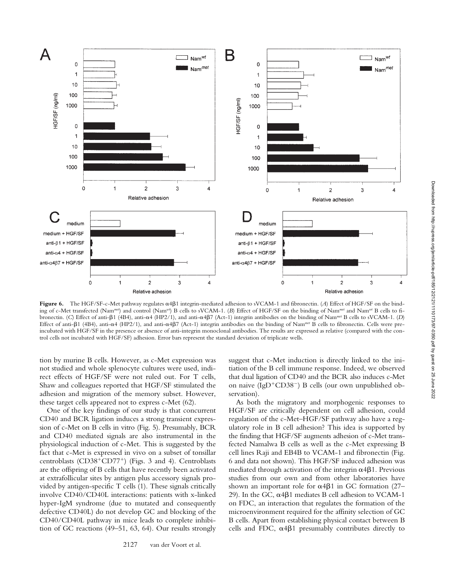

Figure 6. The HGF/SF-c-Met pathway regulates  $\alpha$ 4 $\beta$ 1 integrin-mediated adhesion to sVCAM-1 and fibronectin. (*A*) Effect of HGF/SF on the binding of c-Met transfected (Nam*met*) and control (Nam*wt*) B cells to sVCAM-1. (*B*) Effect of HGF/SF on the binding of Nam*met* and Nam*wt* B cells to fibronectin. (C) Effect of anti- $\beta$ 1 (4B4), anti- $\alpha$ 4 (HP2/1), and anti- $\alpha$ 4 $\beta$ 7 (Act-1) integrin antibodies on the binding of Nam<sup>met</sup> B cells to sVCAM-1. (*D*) Effect of anti-β1 (4B4), anti-α4 (HP2/1), and anti-α4β7 (Act-1) integrin antibodies on the binding of Nam<sup>met</sup> B cells to fibronectin. Cells were preincubated with HGF/SF in the presence or absence of anti-integrin monoclonal antibodies. The results are expressed as relative (compared with the control cells not incubated with HGF/SF) adhesion. Error bars represent the standard deviation of triplicate wells.

tion by murine B cells. However, as c-Met expression was not studied and whole splenocyte cultures were used, indirect effects of HGF/SF were not ruled out. For T cells, Shaw and colleagues reported that HGF/SF stimulated the adhesion and migration of the memory subset. However, these target cells appeared not to express c-Met (62).

One of the key findings of our study is that concurrent CD40 and BCR ligation induces a strong transient expression of c-Met on B cells in vitro (Fig. 5). Presumably, BCR and CD40 mediated signals are also instrumental in the physiological induction of c-Met. This is suggested by the fact that c-Met is expressed in vivo on a subset of tonsillar centroblasts (CD38<sup>+</sup>CD77<sup>+</sup>) (Figs. 3 and 4). Centroblasts are the offspring of B cells that have recently been activated at extrafollicular sites by antigen plus accessory signals provided by antigen-specific T cells (1). These signals critically involve CD40/CD40L interactions: patients with x-linked hyper-IgM syndrome (due to mutated and consequently defective CD40L) do not develop GC and blocking of the CD40/CD40L pathway in mice leads to complete inhibition of GC reactions (49–51, 63, 64). Our results strongly

suggest that c-Met induction is directly linked to the initiation of the B cell immune response. Indeed, we observed that dual ligation of CD40 and the BCR also induces c-Met on naive (IgD<sup>+</sup>CD38<sup>-</sup>) B cells (our own unpublished observation).

As both the migratory and morphogenic responses to HGF/SF are critically dependent on cell adhesion, could regulation of the c-Met–HGF/SF pathway also have a regulatory role in B cell adhesion? This idea is supported by the finding that HGF/SF augments adhesion of c-Met transfected Namalwa B cells as well as the c-Met expressing B cell lines Raji and EB4B to VCAM-1 and fibronectin (Fig. 6 and data not shown). This HGF/SF induced adhesion was mediated through activation of the integrin  $\alpha$ 4 $\beta$ 1. Previous studies from our own and from other laboratories have shown an important role for  $\alpha$ 4 $\beta$ 1 in GC formation (27– 29). In the GC,  $\alpha$ 4 $\beta$ 1 mediates B cell adhesion to VCAM-1 on FDC, an interaction that regulates the formation of the microenvironment required for the affinity selection of GC B cells. Apart from establishing physical contact between B cells and FDC,  $\alpha$ 4 $\beta$ 1 presumably contributes directly to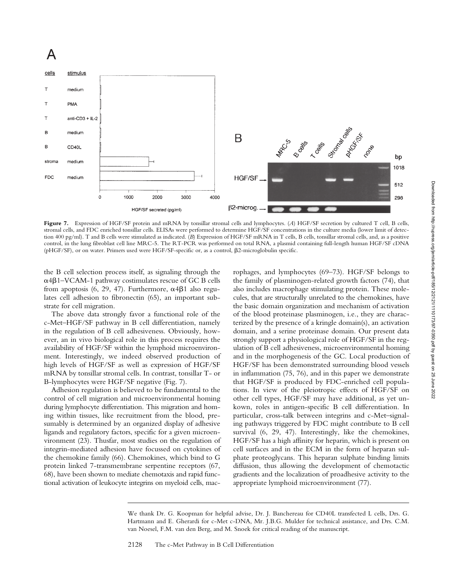# A



**Figure 7.** Expression of HGF/SF protein and mRNA by tonsillar stromal cells and lymphocytes. (*A*) HGF/SF secretion by cultured T cell, B cells, stromal cells, and FDC enriched tonsillar cells. ELISAs were performed to determine HGF/SF concentrations in the culture media (lower limit of detection 400 pg/ml). T and B cells were stimulated as indicated. (*B*) Expression of HGF/SF mRNA in T cells, B cells, tonsillar stromal cells, and, as a positive control, in the lung fibroblast cell line MRC-5. The RT-PCR was performed on total RNA, a plasmid containing full-length human HGF/SF cDNA (pHGF/SF), or on water. Primers used were HGF/SF-specific or, as a control, 2-microglobulin specific.

the B cell selection process itself, as signaling through the  $\alpha$ 4 $\beta$ 1–VCAM-1 pathway costimulates rescue of GC B cells from apoptosis (6, 29, 47). Furthermore,  $\alpha$ 4 $\beta$ 1 also regulates cell adhesion to fibronectin (65), an important substrate for cell migration.

The above data strongly favor a functional role of the c-Met–HGF/SF pathway in B cell differentiation, namely in the regulation of B cell adhesiveness. Obviously, however, an in vivo biological role in this process requires the availability of HGF/SF within the lymphoid microenvironment. Interestingly, we indeed observed production of high levels of HGF/SF as well as expression of HGF/SF mRNA by tonsillar stromal cells. In contrast, tonsillar T- or B-lymphocytes were HGF/SF negative (Fig. 7).

Adhesion regulation is believed to be fundamental to the control of cell migration and microenvironmental homing during lymphocyte differentiation. This migration and homing within tissues, like recruitment from the blood, presumably is determined by an organized display of adhesive ligands and regulatory factors, specific for a given microenvironment (23). Thusfar, most studies on the regulation of integrin-mediated adhesion have focussed on cytokines of the chemokine family (66). Chemokines, which bind to G protein linked 7-transmembrane serpentine receptors (67, 68), have been shown to mediate chemotaxis and rapid functional activation of leukocyte integrins on myeloid cells, macrophages, and lymphocytes (69–73). HGF/SF belongs to the family of plasminogen-related growth factors (74), that also includes macrophage stimulating protein. These molecules, that are structurally unrelated to the chemokines, have the basic domain organization and mechanism of activation of the blood proteinase plasminogen, i.e., they are characterized by the presence of a kringle domain(s), an activation domain, and a serine proteinase domain. Our present data strongly support a physiological role of HGF/SF in the regulation of B cell adhesiveness, microenvironmental homing and in the morphogenesis of the GC. Local production of HGF/SF has been demonstrated surrounding blood vessels in inflammation (75, 76), and in this paper we demonstrate that HGF/SF is produced by FDC-enriched cell populations. In view of the pleiotropic effects of HGF/SF on other cell types, HGF/SF may have additional, as yet unkown, roles in antigen-specific B cell differentiation. In particular, cross-talk between integrins and c-Met–signaling pathways triggered by FDC might contribute to B cell survival (6, 29, 47). Interestingly, like the chemokines, HGF/SF has a high affinity for heparin, which is present on cell surfaces and in the ECM in the form of heparan sulphate proteoglycans. This heparan sulphate binding limits diffusion, thus allowing the development of chemotactic gradients and the localization of proadhesive activity to the appropriate lymphoid microenvironment (77).

We thank Dr. G. Koopman for helpful advise, Dr. J. Banchereau for CD40L transfected L cells, Drs. G. Hartmann and E. Gherardi for c-Met c-DNA, Mr. J.B.G. Mulder for technical assistance, and Drs. C.M. van Noesel, F.M. van den Berg, and M. Snoek for critical reading of the manuscript.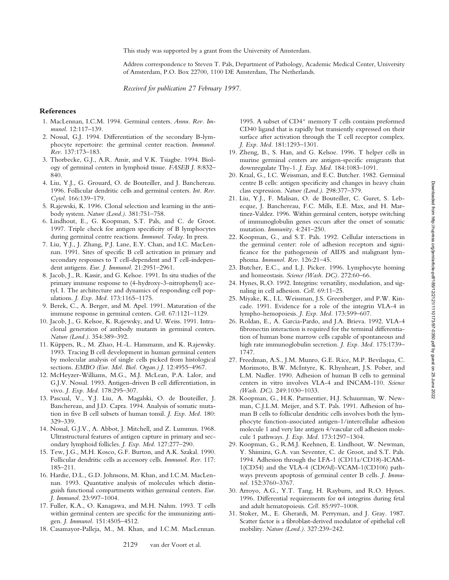Address correspondence to Steven T. Pals, Department of Pathology, Academic Medical Center, University of Amsterdam, P.O. Box 22700, 1100 DE Amsterdam, The Netherlands.

*Received for publication 27 February 1997.*

### **References**

- 1. MacLennan, I.C.M. 1994. Germinal centers. *Annu. Rev. Immunol.* 12:117–139.
- 2. Nossal, G.J. 1994. Differentiation of the secondary B-lymphocyte repertoire: the germinal center reaction. *Immunol. Rev.* 137:173–183.
- 3. Thorbecke, G.J., A.R. Amir, and V.K. Tsiagbe. 1994. Biology of germinal centers in lymphoid tissue. *FASEB J.* 8:832– 840.
- 4. Liu, Y.J., G. Grouard, O. de Bouteiller, and J. Banchereau. 1996. Follicular dendritic cells and germinal centers. *Int. Rev. Cytol.* 166:139–179.
- 5. Rajewski, K. 1996. Clonal selection and learning in the antibody system. *Nature (Lond.).* 381:751–758.
- 6. Lindhout, E., G. Koopman, S.T. Pals, and C. de Groot. 1997. Triple check for antigen specificity of B lymphocytes during germinal centre reactions. *Immunol. Today.* In press.
- 7. Liu, Y.J., J. Zhang, P.J. Lane, E.Y. Chan, and I.C. MacLennan. 1991. Sites of specific B cell activation in primary and secondary responses to T cell-dependent and T cell-independent antigens. *Eur. J. Immunol.* 21:2951–2961.
- 8. Jacob, J., R. Kassir, and G. Kelsoe. 1991. In situ studies of the primary immune response to (4-hydroxy-3-nitrophenyl) acetyl. I. The architecture and dynamics of responding cell populations. *J. Exp. Med.* 173:1165–1175.
- 9. Berek, C., A. Berger, and M. Apel. 1991. Maturation of the immune response in germinal centers. *Cell.* 67:1121–1129.
- 10. Jacob, J., G. Kelsoe, K. Rajewsky, and U. Weiss. 1991. Intraclonal generation of antibody mutants in germinal centers. *Nature (Lond.).* 354:389–392.
- 11. Küppers, R., M. Zhao, H.-L. Hansmann, and K. Rajewsky. 1993. Tracing B cell development in human germinal centers by molecular analysis of single cells picked from histological sections. *EMBO (Eur. Mol. Biol. Organ.) J.* 12:4955–4967.
- 12. McHeyzer-Williams, M.G., M.J. McLean, P.A. Lalor, and G.J.V. Nossal. 1993. Antigen-driven B cell differentiation, in vivo. *J. Exp. Med.* 178:295–307.
- 13. Pascual, V., Y.J. Liu, A. Magalski, O. de Bouteiller, J. Banchereau, and J.D. Capra. 1994. Analysis of somatic mutation in five B cell subsets of human tonsil. *J. Exp. Med.* 180: 329–339.
- 14. Nossal, G.J.V., A. Abbot, J. Mitchell, and Z. Lummus. 1968. Ultrastructural features of antigen capture in primary and secondary lymphoid follicles. *J. Exp. Med.* 127:277–290.
- 15. Tew, J.G., M.H. Kosco, G.F. Burton, and A.K. Szakal. 1990. Follicular dendritic cells as accessory cells. *Immunol. Rev.* 117: 185–211.
- 16. Hardie, D.L., G.D. Johnsons, M. Khan, and I.C.M. MacLennan. 1993. Quantative analysis of molecules which distinguish functional compartments within germinal centers. *Eur. J. Immunol.* 23:997–1004.
- 17. Fuller, K.A., O. Kanagawa, and M.H. Nahm. 1993. T cells within germinal centers are specific for the immunizing antigen. *J. Immunol.* 151:4505–4512.
- 18. Casamayor-Palleja, M., M. Khan, and I.C.M. MacLennan.

1995. A subset of  $CD4^+$  memory T cells contains preformed CD40 ligand that is rapidly but transiently expressed on their surface after activation through the T cell receptor complex. *J. Exp. Med.* 181:1293–1301.

- 19. Zheng, B., S. Han, and G. Kelsoe. 1996. T helper cells in murine germinal centers are antigen-specific emigrants that downregulate Thy-1. *J. Exp. Med.* 184:1083–1091.
- 20. Kraal, G., I.C. Weissman, and E.C. Butcher. 1982. Germinal centre B cells: antigen specificity and changes in heavy chain class expression. *Nature (Lond.).* 298:377–379.
- 21. Liu, Y.J., F. Malisan, O. de Bouteiller, C. Guret, S. Lebecque, J. Banchereau, F.C. Mills, E.E. Max, and H. Martinez-Valdez. 1996. Within germinal centers, isotype switching of immunoglobulin genes occurs after the onset of somatic mutation. *Immunity.* 4:241–250.
- 22. Koopman, G., and S.T. Pals. 1992. Cellular interactions in the germinal center: role of adhesion receptors and significance for the pathogenesis of AIDS and malignant lymphoma. *Immunol. Rev.* 126:21–45.
- 23. Butcher, E.C., and L.J. Picker. 1996. Lymphocyte homing and homeostasis. *Science (Wash. DC).* 272:60–66.
- 24. Hynes, R.O. 1992. Integrins: versatility, modulation, and signaling in cell adhesion. *Cell.* 69:11–25.
- 25. Miyake, K., I.L. Weissman, J.S. Greenberger, and P.W. Kincade. 1991. Evidence for a role of the integrin VLA-4 in lympho-hemopoiesis. *J. Exp. Med.* 173:599–607.
- 26. Roldan, E., A. Garcia-Pardo, and J.A. Brieva. 1992. VLA-4 fibronectin interaction is required for the terminal differentiation of human bone marrow cells capable of spontaneous and high rate immunoglobulin secretion. *J. Exp. Med.* 175:1739– 1747.
- 27. Freedman, A.S., J.M. Munro, G.E. Rice, M.P. Bevilaqua, C. Morimoto, B.W. McIntyre, K. Rhynheart, J.S. Pober, and L.M. Nadler. 1990. Adhesion of human B cells to germinal centers in vitro involves VLA-4 and INCAM-110. *Science (Wash. DC).* 249:1030–1033.
- 28. Koopman, G., H.K. Parmentier, H.J. Schuurman, W. Newman, C.J.L.M. Meijer, and S.T. Pals. 1991. Adhesion of human B cells to follicular dendritic cells involves both the lymphocyte function-associated antigen-1/intercellular adhesion molecule 1 and very late antigen 4/vascular cell adhesion molecule 1 pathways. *J. Exp. Med.* 173:1297–1304.
- 29. Koopman, G., R.M.J. Keehnen, E. Lindhout, W. Newman, Y. Shimizu, G.A. van Seventer, C. de Groot, and S.T. Pals. 1994. Adhesion through the LFA-1 (CD11a/CD18)-ICAM-1(CD54) and the VLA-4 (CD69d)-VCAM-1(CD106) pathways prevents apoptosis of germinal center B cells. *J. Immunol.* 152:3760–3767.
- 30. Arroyo, A.G., Y.T. Tang, H. Rayburn, and R.O. Hynes. 1996. Differential requirements for  $\alpha$ 4 integrins during fetal and adult hematopoiesis. *Cell.* 85:997–1008.
- 31. Stoker, M., E. Gherardi, M. Perryman, and J. Gray. 1987. Scatter factor is a fibroblast-derived modulator of epithelial cell mobility. *Nature (Lond.).* 327:239–242.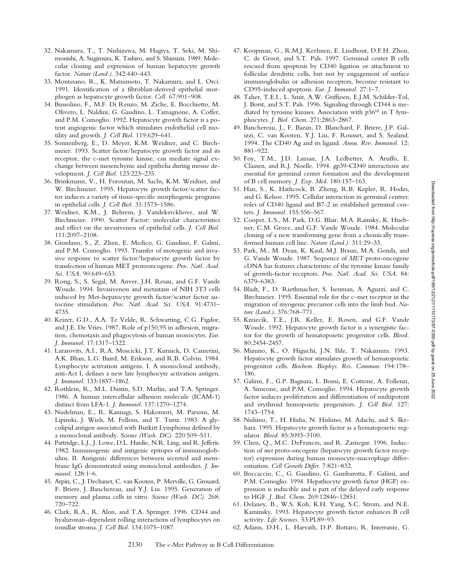- 32. Nakamura, T., T. Nishizawa, M. Hagiya, T. Seki, M. Shimonishi, A. Sugimura, K. Tashiro, and S. Shimizu. 1989. Molecular cloning and expression of human hepatocyte growth factor. *Nature (Lond.).* 342:440–443.
- 33. Montesano, R., K. Matsumoto, T. Nakamura, and L. Orci. 1991. Identification of a fibroblast-derived epithelial morphogen as hepatocyte growth factor. *Cell.* 67:901–908.
- 34. Bussolino, F., M.F. Di Renzo, M. Ziche, E. Bocchietto, M. Olivero, L. Naldini, G. Gaudino, L. Tamagnone, A. Coffer, and P.M. Comoglio. 1992. Hepatocyte growth factor is a potent angiogenic factor which stimulates endothelial cell motility and growth. *J. Cell Biol.* 119:629–641.
- 35. Sonnenberg, E., D. Meyer, K.M. Weidner, and C. Birchmeier. 1993. Scatter factor/hepatocyte growth factor and its receptor, the c-met tyrosine kinase, can mediate signal exchange between mesenchyme and epithelia during mouse development. *J. Cell Biol.* 123:223–235.
- 36. Brinkmann, V., H. Foroutan, M. Sachs, K.M. Weidner, and W. Birchmeier. 1995. Hepatocyte growth factor/scatter factor induces a variety of tissue-specific morphogenic programs in epithelial cells. *J. Cell Biol.* 31:1573–1586.
- 37. Weidner, K.M., J. Behrens, J. Vandekerckhove, and W. Birchmeier. 1990. Scatter Factor: molecular characteristics and effect on the invasiveness of epithelial cells. *J. Cell Biol.* 111:2097–2108.
- 38. Giordano, S., Z. Zhen, E. Medico, G. Gaudino, F. Galmi, and P.M. Comoglio. 1993. Transfer of motogenic and invasive response to scatter factor/hepatocyte growth factor by transfection of human MET protooncogene. *Proc. Natl. Acad. Sci. USA.* 90:649–653.
- 39. Rong, S., S. Segal, M. Anver, J.H. Resau, and G.F. Vande Woude. 1994. Invasiveness and metastasis of NIH 3T3 cells induced by Met-hepatocyte growth factor/scatter factor autocrine stimulation. *Proc. Natl. Acad. Sci. USA.* 91:4731– 4735.
- 40. Keizer, G.D., A.A. Te Velde, R. Schwarting, C.G. Figdor, and J.E. De Vries. 1987. Role of p150,95 in adhesion, migration, chemotaxis and phagocytosis of human monocytes. *Eur. J. Immunol.* 17:1317–1322.
- 41. Lazarovits, A.I., R.A. Moscicki, J.T. Kurnick, D. Camerini, A.K. Bhan, L.G. Baird, M. Erikson, and R.B. Colvin. 1984. Lymphocyte activation antigens. I. A monoclonal antibody, anti-Act I, defines a new late lymphocyte activation antigen. *J. Immunol.* 133:1857–1862.
- 42. Rothlein, R., M.L. Dustin, S.D. Marlin, and T.A. Springer. 1986. A human intercellular adhesion molecule (ICAM-1) distinct from LFA-1. *J. Immunol.* 137:1270–1274.
- 43. Nudelman, E., R. Kannagi, S. Hakomori, M. Parsons, M. Lipinski, J. Wiels, M. Fellous, and T. Tursz. 1983. A glycolipid antigen associated with Burkitt Lymphoma defined by a monoclonal antibody. *Science (Wash. DC).* 220:509–511.
- 44. Partridge, L.J., J. Lowe, D.L. Hardie, N.R. Ling, and R. Jefferis. 1982. Immunogenic and antigenic epitopes of immunoglobulins. II. Antigenic differences between secreted and membrane IgG demonstrated using monoclonal antibodies. *J. Immunol.* 128:1–6.
- 45. Arpin, C., J. Dechanet, C. van Kooten, P. Merville, G. Grouard, F. Briere, J. Banchereau, and Y.J. Liu. 1995. Generation of memory and plasma cells in vitro. *Science (Wash. DC).* 268: 720–722.
- 46. Clark, R.A., R. Alon, and T.A. Springer. 1996. CD44 and hyaluronan-dependent rolling interactions of lymphocytes on tonsillar stroma. *J. Cell Biol.* 134:1075–1087.
- 47. Koopman, G., R.M.J. Keehnen, E. Lindhout, D.F.H. Zhou, C. de Groot, and S.T. Pals. 1997. Germinal center B cells rescued from apoptosis by CD40 ligation or attachment to follicular dendritic cells, but not by engagement of surface immunoglobulin or adhesion receptors, become resistant to CD95-induced apoptosis. *Eur. J. Immunol.* 27:1–7.
- 48. Taher, T.E.I., L. Smit, A.W. Griffioen, E.J.M. Schilder-Tol, J. Borst, and S.T. Pals. 1996. Signaling through CD44 is mediated by tyrosine kinases. Association with p56*lck* in T lymphocytes. *J. Biol. Chem.* 271:2863–2867.
- 49. Banchereau, J., F. Bazan, D. Blanchard, F. Briere, J.P. Galizzi, C. van Kooten, Y.J. Liu, F. Rousset, and S. Sealand. 1994. The CD40 Ag and its ligand. *Annu. Rev. Immunol.* 12: 881–922.
- 50. Foy, T.M., J.D. Laman, J.A. Ledbetter, A. Aruffo, E. Claasen, and R.J. Noelle. 1994. gp39-CD40 interactions are essential for germinal center formation and the development of B cell memory. *J. Exp. Med.* 180:157–163.
- 51. Han, S., K. Hathcock, B. Zheng, R.B. Kepler, R. Hodes, and G. Kelsoe. 1995. Cellular interaction in germinal centres: roles of CD40 ligand and B7-2 in established germinal centers. *J. Immunol.* 155:556–567.
- 52. Cooper, L.S., M. Park, D.G. Blair, M.A. Rainsky, K. Huebner, C.M. Groce, and G.F. Vande Woude. 1984. Molecular cloning of a new transforming gene from a chemically transformed human cell line. *Nature (Lond.).* 311:29–33.
- 53. Park, M., M. Dean, K. Kaul, M.J. Braun, M.A. Gonda, and G. Vande Woude. 1987. Sequence of *MET* proto-oncogene cDNA has features characteristic of the tyrosine kinase family of growth-factor receptors. *Proc. Natl. Acad. Sci. USA.* 84: 6379–6383.
- 54. Bladt, F., D. Riethmacher, S. Isenman, A. Aguzzi, and C. Birchmeier. 1995. Essential role for the c–met receptor in the migration of myogenic precursor cells into the limb bud. *Nature (Lond.).* 376:768–771.
- 55. Kmiecik, T.E., J.R. Keller, E. Rosen, and G.F. Vande Woude. 1992. Hepatocyte growth factor is a synergistic factor for the growth of hematopoietic progenitor cells. *Blood.* 80:2454-2457.
- 56. Mizuno, K., O. Higuchi, J.N. Ihle, T. Nakamura. 1993. Hepatocyte growth factor stimulates growth of hematopoietic progenitor cells. *Biochem. Biophys. Res. Commun.* 194:178– 186.
- 57. Galimi, F., G.P. Bagnara, L. Bonsi, E. Cottone, A. Follenzi, A. Simeone, and P.M. Comoglio. 1994. Hepatocyte growth factor induces proliferation and differentiation of multipotent and erythroid hemopoietic progenitors. *J. Cell Biol.* 127: 1743–1754.
- 58. Nishino, T., H. Hisha, N. Hishino, M. Adachi, and S. Ikehara. 1995. Hepatocyte growth factor as a hematopoietic regulator. *Blood.* 85:3093–3100.
- 59. Chen, Q., M.C. DeFrances, and R. Zarnegar. 1996. Induction of *met* proto-oncogene (hepatocyte growth factor receptor) expression during human monocyte-macrophage differentiation. *Cell Growth Differ.* 7:821–832.
- 60. Boccaccio, C., G. Gaudino, G. Gambarotta, F. Galimi, and P.M. Comoglio. 1994. Hepathocyte growth factor (HGF) expression is inducible and is part of the delayed early response to HGF. *J. Biol. Chem.* 269:12846–12851.
- 61. Delaney, B., W.S. Koh, K.H. Yang, S.C. Strom, and N.E. Kaminsky. 1993. Hepatocyte growth factor enhances B cell activity. *Life Sciences.* 53:PL89–93.
- 62. Adams, D.H., L. Harvath, D.P. Bottaro, R. Interrante, G.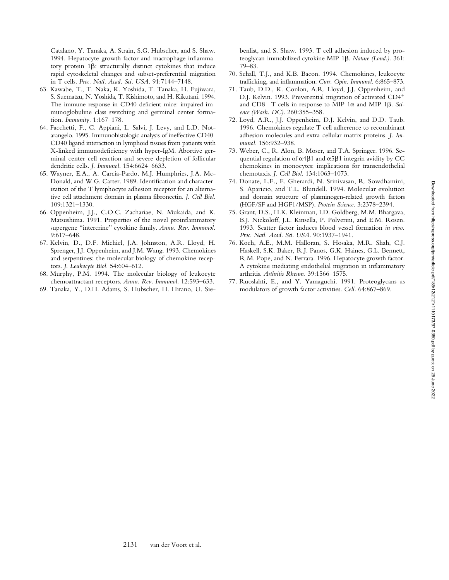Catalano, Y. Tanaka, A. Strain, S.G. Hubscher, and S. Shaw. 1994. Hepatocyte growth factor and macrophage inflammatory protein  $1\beta$ : structurally distinct cytokines that induce rapid cytoskeletal changes and subset-preferential migration in T cells. *Proc. Natl. Acad. Sci. USA.* 91:7144–7148.

- 63. Kawabe, T., T. Naka, K. Yoshida, T. Tanaka, H. Fujiwara, S. Suematzu, N. Yoshida, T. Kishimoto, and H. Kikutani. 1994. The immune response in CD40 deficient mice: impaired immunoglobuline class switching and germinal center formation. *Immunity.* 1:167–178.
- 64. Facchetti, F., C. Appiani, L. Salvi, J. Levy, and L.D. Notarangelo. 1995. Immunohistologic analysis of ineffective CD40- CD40 ligand interaction in lymphoid tissues from patients with X-linked immunodeficiency with hyper-IgM. Abortive germinal center cell reaction and severe depletion of follicular dendritic cells. *J. Immunol.* 154:6624–6633.
- 65. Wayner, E.A., A. Carcia-Pardo, M.J. Humphries, J.A. Mc-Donald, and W.G. Carter. 1989. Identification and characterization of the T lymphocyte adhesion receptor for an alternative cell attachment domain in plasma fibronectin. *J. Cell Biol.* 109:1321–1330.
- 66. Oppenheim, J.J., C.O.C. Zachariae, N. Mukaida, and K. Matsushima. 1991. Properties of the novel proinflammatory supergene "intercrine" cytokine family. *Annu. Rev. Immunol.* 9:617–648.
- 67. Kelvin, D., D.F. Michiel, J.A. Johnston, A.R. Lloyd, H. Sprenger, J.J. Oppenheim, and J.M. Wang. 1993. Chemokines and serpentines: the molecular biology of chemokine receptors. *J. Leukocyte Biol.* 54:604–612.
- 68. Murphy, P.M. 1994. The molecular biology of leukocyte chemoattractant receptors. *Annu. Rev. Immunol.* 12:593–633.
- 69. Tanaka, Y., D.H. Adams, S. Hubscher, H. Hirano, U. Sie-

benlist, and S. Shaw. 1993. T cell adhesion induced by proteoglycan-immobilized cytokine MIP-1 $\beta$ . *Nature (Lond.).* 361: 79–83.

- 70. Schall, T.J., and K.B. Bacon. 1994. Chemokines, leukocyte trafficking, and inflammation. *Curr. Opin. Immunol.* 6:865–873.
- 71. Taub, D.D., K. Conlon, A.R. Lloyd, J.J. Oppenheim, and D.J. Kelvin. 1993. Preverential migration of activated CD4<sup>+</sup> and  $CD8^+$  T cells in response to MIP-1 $\alpha$  and MIP-1 $\beta$ . *Science (Wash. DC).* 260:355–358.
- 72. Loyd, A.R., J.J. Oppenheim, D.J. Kelvin, and D.D. Taub. 1996. Chemokines regulate T cell adherence to recombinant adhesion molecules and extra-cellular matrix proteins. *J. Immunol.* 156:932–938.
- 73. Weber, C., R. Alon, B. Moser, and T.A. Springer. 1996. Sequential regulation of  $\alpha$ 4 $\beta$ 1 and  $\alpha$ 5 $\beta$ 1 integrin avidity by CC chemokines in monocytes: implications for transendothelial chemotaxis. *J. Cell Biol.* 134:1063–1073.
- 74. Donate, L.E., E. Gherardi, N. Srinivasan, R. Sowdhamini, S. Aparicio, and T.L. Blundell. 1994. Molecular evolution and domain structure of plasminogen-related growth factors (HGF/SF and HGF1/MSP). *Protein Science.* 3:2378–2394.
- 75. Grant, D.S., H.K. Kleinman, I.D. Goldberg, M.M. Bhargava, B.J. Nickoloff, J.L. Kinsella, P. Polverini, and E.M. Rosen. 1993. Scatter factor induces blood vessel formation *in vivo. Proc. Natl. Acad. Sci. USA.* 90:1937–1941.
- 76. Koch, A.E., M.M. Halloran, S. Hosaka, M.R. Shah, C.J. Haskell, S.K. Baker, R.J. Panos, G.K. Haines, G.L. Bennett, R.M. Pope, and N. Ferrara. 1996. Hepatocyte growth factor. A cytokine mediating endothelial migration in inflammatory arthritis. *Arthritis Rheum.* 39:1566–1575.
- 77. Ruoslahti, E., and Y. Yamaguchi. 1991. Proteoglycans as modulators of growth factor activities. *Cell.* 64:867–869.